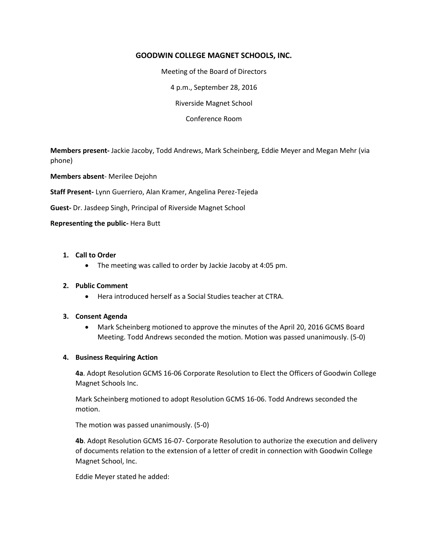## **GOODWIN COLLEGE MAGNET SCHOOLS, INC.**

Meeting of the Board of Directors

4 p.m., September 28, 2016

Riverside Magnet School

Conference Room

**Members present-** Jackie Jacoby, Todd Andrews, Mark Scheinberg, Eddie Meyer and Megan Mehr (via phone)

**Members absent**- Merilee Dejohn

**Staff Present-** Lynn Guerriero, Alan Kramer, Angelina Perez-Tejeda

**Guest-** Dr. Jasdeep Singh, Principal of Riverside Magnet School

### **Representing the public-** Hera Butt

### **1. Call to Order**

The meeting was called to order by Jackie Jacoby at 4:05 pm.

#### **2. Public Comment**

Hera introduced herself as a Social Studies teacher at CTRA.

#### **3. Consent Agenda**

 Mark Scheinberg motioned to approve the minutes of the April 20, 2016 GCMS Board Meeting. Todd Andrews seconded the motion. Motion was passed unanimously. (5-0)

#### **4. Business Requiring Action**

**4a**. Adopt Resolution GCMS 16-06 Corporate Resolution to Elect the Officers of Goodwin College Magnet Schools Inc.

Mark Scheinberg motioned to adopt Resolution GCMS 16-06. Todd Andrews seconded the motion.

The motion was passed unanimously. (5-0)

**4b**. Adopt Resolution GCMS 16-07- Corporate Resolution to authorize the execution and delivery of documents relation to the extension of a letter of credit in connection with Goodwin College Magnet School, Inc.

Eddie Meyer stated he added: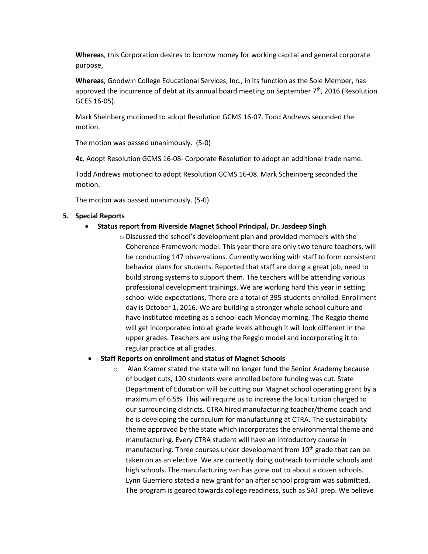**Whereas**, this Corporation desires to borrow money for working capital and general corporate purpose,

**Whereas**, Goodwin College Educational Services, Inc., in its function as the Sole Member, has approved the incurrence of debt at its annual board meeting on September  $7<sup>th</sup>$ , 2016 (Resolution GCES 16-05).

Mark Sheinberg motioned to adopt Resolution GCMS 16-07. Todd Andrews seconded the motion.

The motion was passed unanimously. (5-0)

**4c**. Adopt Resolution GCMS 16-08- Corporate Resolution to adopt an additional trade name.

Todd Andrews motioned to adopt Resolution GCMS 16-08. Mark Scheinberg seconded the motion.

The motion was passed unanimously. (5-0)

## **5. Special Reports**

- **Status report from Riverside Magnet School Principal, Dr. Jasdeep Singh**
	- o Discussed the school's development plan and provided members with the Coherence-Framework model. This year there are only two tenure teachers, will be conducting 147 observations. Currently working with staff to form consistent behavior plans for students. Reported that staff are doing a great job, need to build strong systems to support them. The teachers will be attending various professional development trainings. We are working hard this year in setting school wide expectations. There are a total of 395 students enrolled. Enrollment day is October 1, 2016. We are building a stronger whole school culture and have instituted meeting as a school each Monday morning. The Reggio theme will get incorporated into all grade levels although it will look different in the upper grades. Teachers are using the Reggio model and incorporating it to regular practice at all grades.

### **Staff Reports on enrollment and status of Magnet Schools**

Alan Kramer stated the state will no longer fund the Senior Academy because of budget cuts, 120 students were enrolled before funding was cut. State Department of Education will be cutting our Magnet school operating grant by a maximum of 6.5%. This will require us to increase the local tuition charged to our surrounding districts. CTRA hired manufacturing teacher/theme coach and he is developing the curriculum for manufacturing at CTRA. The sustainability theme approved by the state which incorporates the environmental theme and manufacturing. Every CTRA student will have an introductory course in manufacturing. Three courses under development from  $10<sup>th</sup>$  grade that can be taken on as an elective. We are currently doing outreach to middle schools and high schools. The manufacturing van has gone out to about a dozen schools. Lynn Guerriero stated a new grant for an after school program was submitted. The program is geared towards college readiness, such as SAT prep. We believe